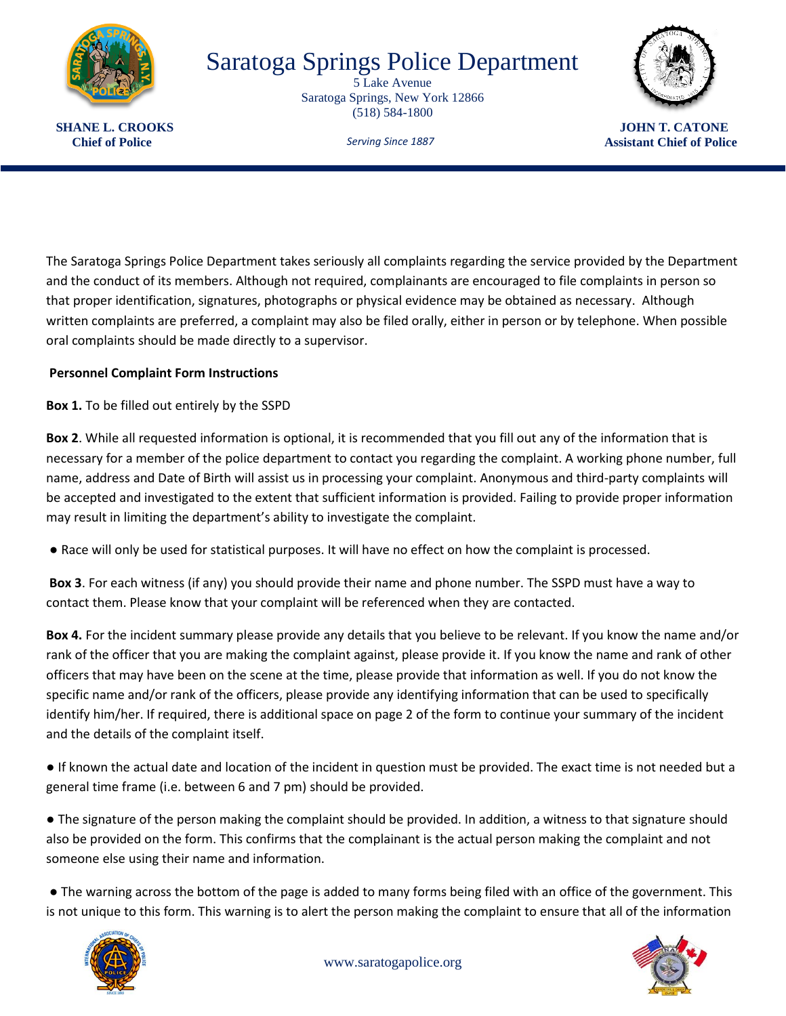

## Saratoga Springs Police Department

5 Lake Avenue Saratoga Springs, New York 12866 (518) 584-1800



*Serving Since 1887*

**SHANE L. CROOKS** JOHN T. CATONE **Chief of Police Chief of Police Assistant Chief of Police Assistant Chief of Police Assistant Chief of Police** 

The Saratoga Springs Police Department takes seriously all complaints regarding the service provided by the Department and the conduct of its members. Although not required, complainants are encouraged to file complaints in person so that proper identification, signatures, photographs or physical evidence may be obtained as necessary. Although written complaints are preferred, a complaint may also be filed orally, either in person or by telephone. When possible oral complaints should be made directly to a supervisor.

## **Personnel Complaint Form Instructions**

**Box 1.** To be filled out entirely by the SSPD

**Box 2**. While all requested information is optional, it is recommended that you fill out any of the information that is necessary for a member of the police department to contact you regarding the complaint. A working phone number, full name, address and Date of Birth will assist us in processing your complaint. Anonymous and third-party complaints will be accepted and investigated to the extent that sufficient information is provided. Failing to provide proper information may result in limiting the department's ability to investigate the complaint.

● Race will only be used for statistical purposes. It will have no effect on how the complaint is processed.

**Box 3**. For each witness (if any) you should provide their name and phone number. The SSPD must have a way to contact them. Please know that your complaint will be referenced when they are contacted.

**Box 4.** For the incident summary please provide any details that you believe to be relevant. If you know the name and/or rank of the officer that you are making the complaint against, please provide it. If you know the name and rank of other officers that may have been on the scene at the time, please provide that information as well. If you do not know the specific name and/or rank of the officers, please provide any identifying information that can be used to specifically identify him/her. If required, there is additional space on page 2 of the form to continue your summary of the incident and the details of the complaint itself.

● If known the actual date and location of the incident in question must be provided. The exact time is not needed but a general time frame (i.e. between 6 and 7 pm) should be provided.

● The signature of the person making the complaint should be provided. In addition, a witness to that signature should also be provided on the form. This confirms that the complainant is the actual person making the complaint and not someone else using their name and information.

● The warning across the bottom of the page is added to many forms being filed with an office of the government. This is not unique to this form. This warning is to alert the person making the complaint to ensure that all of the information